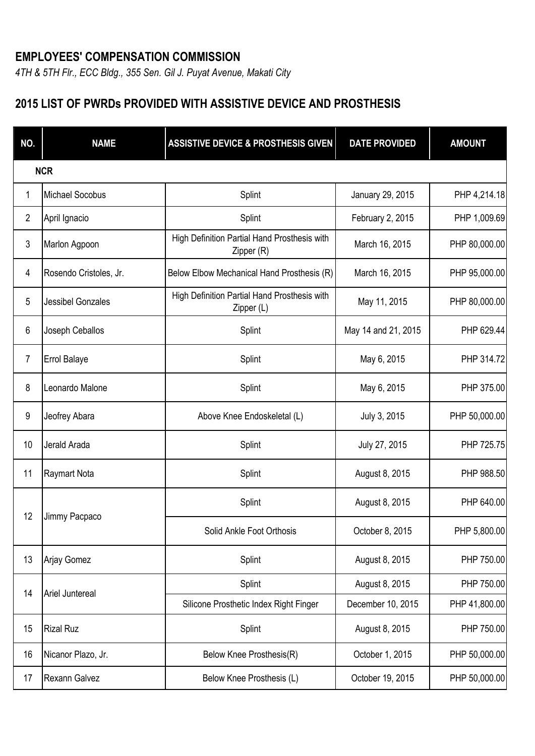## **EMPLOYEES' COMPENSATION COMMISSION**

*4TH & 5TH Flr., ECC Bldg., 355 Sen. Gil J. Puyat Avenue, Makati City*

## **2015 LIST OF PWRDs PROVIDED WITH ASSISTIVE DEVICE AND PROSTHESIS**

| NO.            | <b>NAME</b>              | <b>ASSISTIVE DEVICE &amp; PROSTHESIS GIVEN</b>             | <b>DATE PROVIDED</b> | <b>AMOUNT</b> |  |  |
|----------------|--------------------------|------------------------------------------------------------|----------------------|---------------|--|--|
|                | <b>NCR</b>               |                                                            |                      |               |  |  |
| 1              | <b>Michael Socobus</b>   | Splint                                                     | January 29, 2015     | PHP 4,214.18  |  |  |
| 2              | April Ignacio            | Splint                                                     | February 2, 2015     | PHP 1,009.69  |  |  |
| 3              | Marlon Agpoon            | High Definition Partial Hand Prosthesis with<br>Zipper (R) | March 16, 2015       | PHP 80,000.00 |  |  |
| 4              | Rosendo Cristoles, Jr.   | Below Elbow Mechanical Hand Prosthesis (R)                 | March 16, 2015       | PHP 95,000.00 |  |  |
| 5              | <b>Jessibel Gonzales</b> | High Definition Partial Hand Prosthesis with<br>Zipper (L) | May 11, 2015         | PHP 80,000.00 |  |  |
| 6              | Joseph Ceballos          | Splint                                                     | May 14 and 21, 2015  | PHP 629.44    |  |  |
| $\overline{7}$ | <b>Errol Balaye</b>      | Splint                                                     | May 6, 2015          | PHP 314.72    |  |  |
| 8              | Leonardo Malone          | Splint                                                     | May 6, 2015          | PHP 375.00    |  |  |
| 9              | Jeofrey Abara            | Above Knee Endoskeletal (L)                                | July 3, 2015         | PHP 50,000.00 |  |  |
| 10             | Jerald Arada             | Splint                                                     | July 27, 2015        | PHP 725.75    |  |  |
| 11             | <b>Raymart Nota</b>      | Splint                                                     | August 8, 2015       | PHP 988.50    |  |  |
| 12             | Jimmy Pacpaco            | Splint                                                     | August 8, 2015       | PHP 640.00    |  |  |
|                |                          | Solid Ankle Foot Orthosis                                  | October 8, 2015      | PHP 5,800.00  |  |  |
| 13             | Arjay Gomez              | Splint                                                     | August 8, 2015       | PHP 750.00    |  |  |
| 14             | Ariel Juntereal          | Splint                                                     | August 8, 2015       | PHP 750.00    |  |  |
|                |                          | Silicone Prosthetic Index Right Finger                     | December 10, 2015    | PHP 41,800.00 |  |  |
| 15             | <b>Rizal Ruz</b>         | Splint                                                     | August 8, 2015       | PHP 750.00    |  |  |
| 16             | Nicanor Plazo, Jr.       | Below Knee Prosthesis(R)                                   | October 1, 2015      | PHP 50,000.00 |  |  |
| 17             | Rexann Galvez            | Below Knee Prosthesis (L)                                  | October 19, 2015     | PHP 50,000.00 |  |  |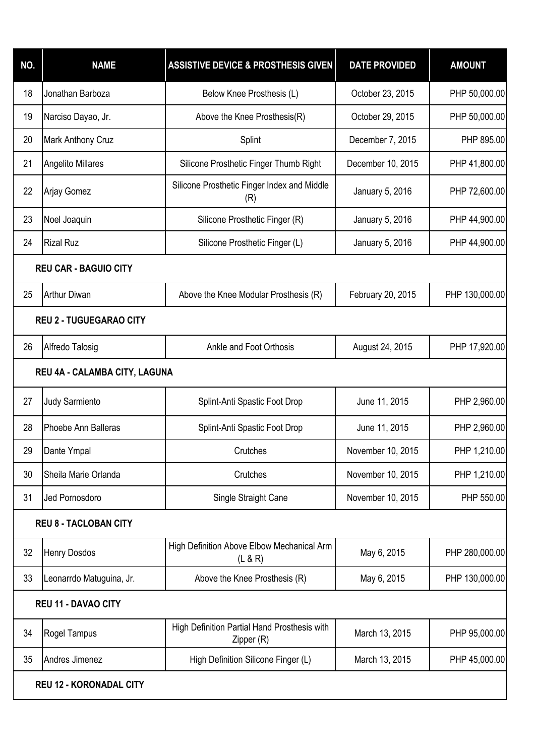| NO.                            | <b>NAME</b>                  | <b>ASSISTIVE DEVICE &amp; PROSTHESIS GIVEN</b>             | <b>DATE PROVIDED</b> | <b>AMOUNT</b>  |  |  |
|--------------------------------|------------------------------|------------------------------------------------------------|----------------------|----------------|--|--|
| 18                             | Jonathan Barboza             | Below Knee Prosthesis (L)                                  | October 23, 2015     | PHP 50,000.00  |  |  |
| 19                             | Narciso Dayao, Jr.           | Above the Knee Prosthesis(R)                               | October 29, 2015     | PHP 50,000.00  |  |  |
| 20                             | Mark Anthony Cruz            | Splint                                                     | December 7, 2015     | PHP 895.00     |  |  |
| 21                             | Angelito Millares            | Silicone Prosthetic Finger Thumb Right                     | December 10, 2015    | PHP 41,800.00  |  |  |
| 22                             | Arjay Gomez                  | Silicone Prosthetic Finger Index and Middle<br>(R)         | January 5, 2016      | PHP 72,600.00  |  |  |
| 23                             | Noel Joaquin                 | Silicone Prosthetic Finger (R)                             | January 5, 2016      | PHP 44,900.00  |  |  |
| 24                             | <b>Rizal Ruz</b>             | Silicone Prosthetic Finger (L)                             | January 5, 2016      | PHP 44,900.00  |  |  |
|                                | <b>REU CAR - BAGUIO CITY</b> |                                                            |                      |                |  |  |
| 25                             | <b>Arthur Diwan</b>          | Above the Knee Modular Prosthesis (R)                      | February 20, 2015    | PHP 130,000.00 |  |  |
| <b>REU 2 - TUGUEGARAO CITY</b> |                              |                                                            |                      |                |  |  |
| 26                             | Alfredo Talosig              | Ankle and Foot Orthosis                                    | August 24, 2015      | PHP 17,920.00  |  |  |
| REU 4A - CALAMBA CITY, LAGUNA  |                              |                                                            |                      |                |  |  |
| 27                             | Judy Sarmiento               | Splint-Anti Spastic Foot Drop                              | June 11, 2015        | PHP 2,960.00   |  |  |
| 28                             | Phoebe Ann Balleras          | Splint-Anti Spastic Foot Drop                              | June 11, 2015        | PHP 2,960.00   |  |  |
| 29                             | Dante Ympal                  | Crutches                                                   | November 10, 2015    | PHP 1,210.00   |  |  |
| 30                             | Sheila Marie Orlanda         | Crutches                                                   | November 10, 2015    | PHP 1,210.00   |  |  |
| 31                             | Jed Pornosdoro               | Single Straight Cane                                       | November 10, 2015    | PHP 550.00     |  |  |
| <b>REU 8 - TACLOBAN CITY</b>   |                              |                                                            |                      |                |  |  |
| 32                             | Henry Dosdos                 | High Definition Above Elbow Mechanical Arm<br>(L & R)      | May 6, 2015          | PHP 280,000.00 |  |  |
| 33                             | Leonarrdo Matuguina, Jr.     | Above the Knee Prosthesis (R)                              | May 6, 2015          | PHP 130,000.00 |  |  |
| <b>REU 11 - DAVAO CITY</b>     |                              |                                                            |                      |                |  |  |
| 34                             | Rogel Tampus                 | High Definition Partial Hand Prosthesis with<br>Zipper (R) | March 13, 2015       | PHP 95,000.00  |  |  |
| 35                             | Andres Jimenez               | High Definition Silicone Finger (L)                        | March 13, 2015       | PHP 45,000.00  |  |  |
| <b>REU 12 - KORONADAL CITY</b> |                              |                                                            |                      |                |  |  |